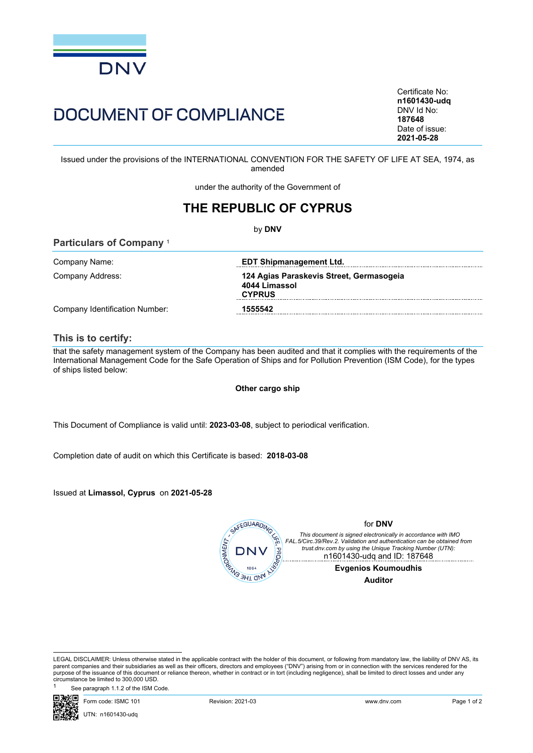

# DOCUMENT OF COMPLIANCE

Certificate No: **n1601430-udq** DNV Id No: **187648** Date of issue: **2021-05-28**

Issued under the provisions of the INTERNATIONAL CONVENTION FOR THE SAFETY OF LIFE AT SEA, 1974, as amended

under the authority of the Government of

## **THE REPUBLIC OF CYPRUS**

by **DNV**

| Company Name:                  | <b>EDT Shipmanagement Ltd.</b>                                             |
|--------------------------------|----------------------------------------------------------------------------|
| Company Address:               | 124 Agias Paraskevis Street, Germasogeia<br>4044 Limassol<br><b>CYPRUS</b> |
| Company Identification Number: | 1555542                                                                    |

### **This is to certify:**

**Particulars of Company** <sup>1</sup>

that the safety management system of the Company has been audited and that it complies with the requirements of the International Management Code for the Safe Operation of Ships and for Pollution Prevention (ISM Code), for the types of ships listed below:

#### **Other cargo ship**

This Document of Compliance is valid until: **2023-03-08**, subject to periodical verification.

Completion date of audit on which this Certificate is based: **2018-03-08**

Issued at **Limassol, Cyprus** on **2021-05-28**



See paragraph 1.1.2 of the ISM Code



LEGAL DISCLAIMER: Unless otherwise stated in the applicable contract with the holder of this document, or following from mandatory law, the liability of DNV AS, its parent companies and their subsidiaries as well as their officers, directors and employees ("DNV") arising from or in connection with the services rendered for the purpose of the issuance of this document or reliance thereon, whether in contract or in tort (including negligence), shall be limited to direct losses and under any circumstance be limited to 300,000 USD.